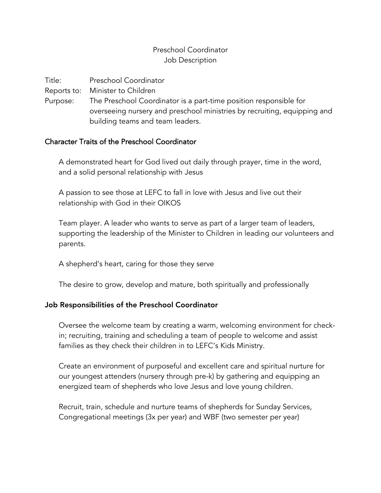## Preschool Coordinator Job Description

Title: Preschool Coordinator

Reports to: Minister to Children

Purpose: The Preschool Coordinator is a part-time position responsible for overseeing nursery and preschool ministries by recruiting, equipping and building teams and team leaders.

## Character Traits of the Preschool Coordinator

A demonstrated heart for God lived out daily through prayer, time in the word, and a solid personal relationship with Jesus

A passion to see those at LEFC to fall in love with Jesus and live out their relationship with God in their OIKOS

Team player. A leader who wants to serve as part of a larger team of leaders, supporting the leadership of the Minister to Children in leading our volunteers and parents.

A shepherd's heart, caring for those they serve

The desire to grow, develop and mature, both spiritually and professionally

## Job Responsibilities of the Preschool Coordinator

Oversee the welcome team by creating a warm, welcoming environment for checkin; recruiting, training and scheduling a team of people to welcome and assist families as they check their children in to LEFC's Kids Ministry.

Create an environment of purposeful and excellent care and spiritual nurture for our youngest attenders (nursery through pre-k) by gathering and equipping an energized team of shepherds who love Jesus and love young children.

Recruit, train, schedule and nurture teams of shepherds for Sunday Services, Congregational meetings (3x per year) and WBF (two semester per year)